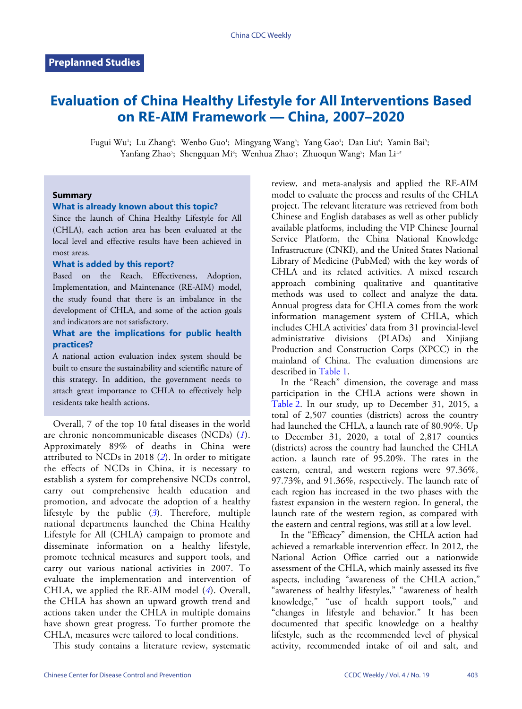# **Evaluation of China Healthy Lifestyle for All Interventions Based on RE-AIM Framework — China, 2007–2020**

Fugui Wu'; Lu Zhang'; Wenbo Guo'; Mingyang Wang'; Yang Gao'; Dan Liu'; Yamin Bai'; Yanfang Zhao5; Shengquan Mi6; Wenhua Zhao7; Zhuoqun Wang5; Man Li1.#

## **Summary**

## **What is already known about this topic?**

Since the launch of China Healthy Lifestyle for All (CHLA), each action area has been evaluated at the local level and effective results have been achieved in most areas.

#### **What is added by this report?**

Based on the Reach, Effectiveness, Adoption, Implementation, and Maintenance (RE-AIM) model, the study found that there is an imbalance in the development of CHLA, and some of the action goals and indicators are not satisfactory.

## **What are the implications for public health practices?**

A national action evaluation index system should be built to ensure the sustainability and scientific nature of this strategy. In addition, the government needs to attach great importance to CHLA to effectively help residents take health actions.

Overall, 7 of the top 10 fatal diseases in the world are chronic noncommunicable diseases (NCDs) (*[1](#page-3-0)*). Approximately 89% of deaths in China were attributed to NCDs in 2018 (*[2](#page-3-1)*). In order to mitigate the effects of NCDs in China, it is necessary to establish a system for comprehensive NCDs control, carry out comprehensive health education and promotion, and advocate the adoption of a healthy lifestyle by the public (*[3](#page-3-2)*). Therefore, multiple national departments launched the China Healthy Lifestyle for All (CHLA) campaign to promote and disseminate information on a healthy lifestyle, promote technical measures and support tools, and carry out various national activities in 2007. To evaluate the implementation and intervention of CHLA, we applied the RE-AIM model (*[4](#page-3-3)*). Overall, the CHLA has shown an upward growth trend and actions taken under the CHLA in multiple domains have shown great progress. To further promote the CHLA, measures were tailored to local conditions.

This study contains a literature review, systematic

review, and meta-analysis and applied the RE-AIM model to evaluate the process and results of the CHLA project. The relevant literature was retrieved from both Chinese and English databases as well as other publicly available platforms, including the VIP Chinese Journal Service Platform, the China National Knowledge Infrastructure (CNKI), and the United States National Library of Medicine (PubMed) with the key words of CHLA and its related activities. A mixed research approach combining qualitative and quantitative methods was used to collect and analyze the data. Annual progress data for CHLA comes from the work information management system of CHLA, which includes CHLA activities' data from 31 provincial-level administrative divisions (PLADs) and Xinjiang Production and Construction Corps (XPCC) in the mainland of China. The evaluation dimensions are described in [Table 1](#page-1-0).

In the "Reach" dimension, the coverage and mass participation in the CHLA actions were shown in [Table 2](#page-1-1). In our study, up to December 31, 2015, a total of 2,507 counties (districts) across the country had launched the CHLA, a launch rate of 80.90%. Up to December 31, 2020, a total of 2,817 counties (districts) across the country had launched the CHLA action, a launch rate of 95.20%. The rates in the eastern, central, and western regions were 97.36%, 97.73%, and 91.36%, respectively. The launch rate of each region has increased in the two phases with the fastest expansion in the western region. In general, the launch rate of the western region, as compared with the eastern and central regions, was still at a low level.

In the "Efficacy" dimension, the CHLA action had achieved a remarkable intervention effect. In 2012, the National Action Office carried out a nationwide assessment of the CHLA, which mainly assessed its five aspects, including "awareness of the CHLA action," "awareness of healthy lifestyles," "awareness of health knowledge," "use of health support tools," and "changes in lifestyle and behavior." It has been documented that specific knowledge on a healthy lifestyle, such as the recommended level of physical activity, recommended intake of oil and salt, and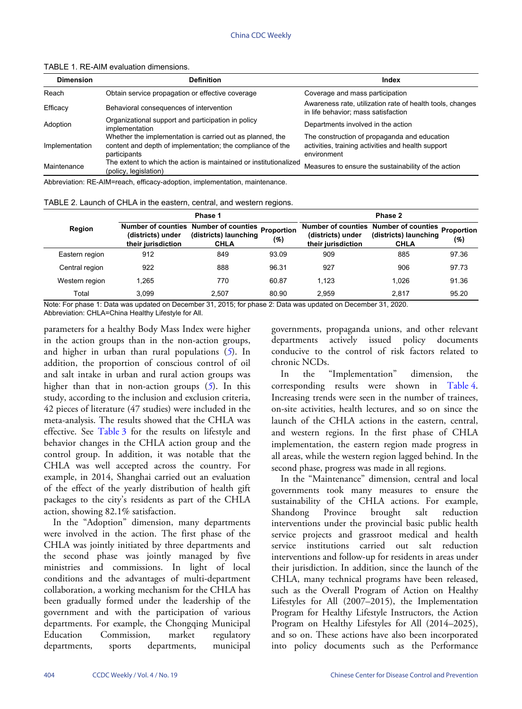| <b>Dimension</b> | <b>Definition</b>                                                                                                                       | Index                                                                                                             |  |  |  |
|------------------|-----------------------------------------------------------------------------------------------------------------------------------------|-------------------------------------------------------------------------------------------------------------------|--|--|--|
| Reach            | Obtain service propagation or effective coverage                                                                                        | Coverage and mass participation                                                                                   |  |  |  |
| Efficacy         | Behavioral consequences of intervention                                                                                                 | Awareness rate, utilization rate of health tools, changes<br>in life behavior; mass satisfaction                  |  |  |  |
| Adoption         | Organizational support and participation in policy<br>implementation                                                                    | Departments involved in the action                                                                                |  |  |  |
| Implementation   | Whether the implementation is carried out as planned, the<br>content and depth of implementation; the compliance of the<br>participants | The construction of propaganda and education<br>activities, training activities and health support<br>environment |  |  |  |
| Maintenance      | The extent to which the action is maintained or institutionalized<br>(policy, legislation)                                              | Measures to ensure the sustainability of the action                                                               |  |  |  |

<span id="page-1-0"></span>TABLE 1. RE-AIM evaluation dimensions.

Abbreviation: RE-AIM=reach, efficacy-adoption, implementation, maintenance.

<span id="page-1-1"></span>TABLE 2. Launch of CHLA in the eastern, central, and western regions.

|                | Phase 1                                 |                                                                               |                   | Phase 2                                 |                                                                                          |       |  |
|----------------|-----------------------------------------|-------------------------------------------------------------------------------|-------------------|-----------------------------------------|------------------------------------------------------------------------------------------|-------|--|
| Region         | (districts) under<br>their jurisdiction | Number of counties Number of counties<br>(districts) launching<br><b>CHLA</b> | Proportion<br>(%) | (districts) under<br>their jurisdiction | Number of counties Number of counties Proportion<br>(districts) launching<br><b>CHLA</b> | (%)   |  |
| Eastern region | 912                                     | 849                                                                           | 93.09             | 909                                     | 885                                                                                      | 97.36 |  |
| Central region | 922                                     | 888                                                                           | 96.31             | 927                                     | 906                                                                                      | 97.73 |  |
| Western region | 1.265                                   | 770                                                                           | 60.87             | 1.123                                   | 1.026                                                                                    | 91.36 |  |
| Total          | 3.099                                   | 2.507                                                                         | 80.90             | 2.959                                   | 2.817                                                                                    | 95.20 |  |

Note: For phase 1: Data was updated on December 31, 2015; for phase 2: Data was updated on December 31, 2020. Abbreviation: CHLA=China Healthy Lifestyle for All.

parameters for a healthy Body Mass Index were higher in the action groups than in the non-action groups, and higher in urban than rural populations (*[5](#page-3-4)*). In addition, the proportion of conscious control of oil and salt intake in urban and rural action groups was higher than that in non-action groups (*[5](#page-3-4)*). In this study, according to the inclusion and exclusion criteria, 42 pieces of literature (47 studies) were included in the meta-analysis. [The res](#page-2-0)ults showed that the CHLA was effective. See [Table 3](#page-2-0) for the results on lifestyle and behavior changes in the CHLA action group and the control group. In addition, it was notable that the CHLA was well accepted across the country. For example, in 2014, Shanghai carried out an evaluation of the effect of the yearly distribution of health gift packages to the city's residents as part of the CHLA action, showing 82.1% satisfaction.

In the "Adoption" dimension, many departments were involved in the action. The first phase of the CHLA was jointly initiated by three departments and the second phase was jointly managed by five ministries and commissions. In light of local conditions and the advantages of multi-department collaboration, a working mechanism for the CHLA has been gradually formed under the leadership of the government and with the participation of various departments. For example, the Chongqing Municipal Education Commission, market regulatory departments, sports departments, municipal

governments, propaganda unions, and other relevant departments actively issued policy documents conducive to the control of risk factors related to chronic NCDs.

In the "Implementation" dimension, the corresponding results were shown in [Table 4](#page-2-1). Increasing trends were seen in the number of trainees, on-site activities, health lectures, and so on since the launch of the CHLA actions in the eastern, central, and western regions. In the first phase of CHLA implementation, the eastern region made progress in all areas, while the western region lagged behind. In the second phase, progress was made in all regions.

In the "Maintenance" dimension, central and local governments took many measures to ensure the sustainability of the CHLA actions. For example, Shandong Province brought salt reduction interventions under the provincial basic public health service projects and grassroot medical and health service institutions carried out salt reduction interventions and follow-up for residents in areas under their jurisdiction. In addition, since the launch of the CHLA, many technical programs have been released, such as the Overall Program of Action on Healthy Lifestyles for All (2007–2015), the Implementation Program for Healthy Lifestyle Instructors, the Action Program on Healthy Lifestyles for All (2014–2025), and so on. These actions have also been incorporated into policy documents such as the Performance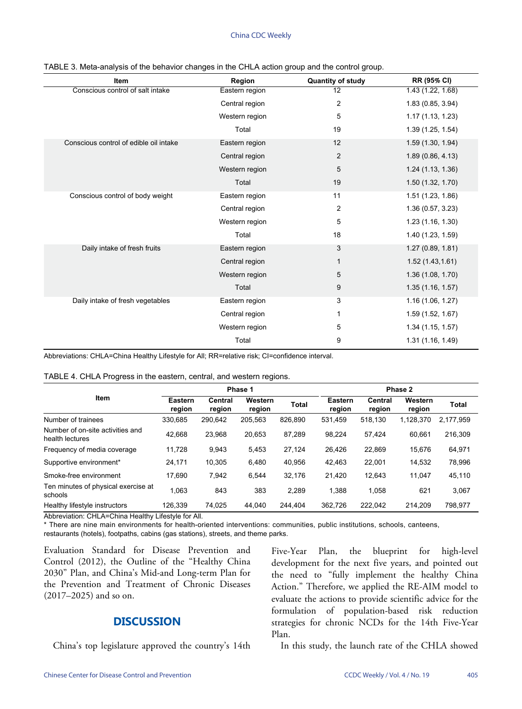<span id="page-2-0"></span>

| <b>Item</b>                            | Region         | <b>Quantity of study</b> | <b>RR (95% CI)</b> |
|----------------------------------------|----------------|--------------------------|--------------------|
| Conscious control of salt intake       | Eastern region | 12                       | 1.43 (1.22, 1.68)  |
|                                        | Central region | $\overline{\mathbf{c}}$  | 1.83 (0.85, 3.94)  |
|                                        | Western region | 5                        | 1.17(1.13, 1.23)   |
|                                        | Total          | 19                       | 1.39(1.25, 1.54)   |
| Conscious control of edible oil intake | Eastern region | 12                       | 1.59(1.30, 1.94)   |
|                                        | Central region | $\overline{2}$           | 1.89(0.86, 4.13)   |
|                                        | Western region | 5                        | 1.24 (1.13, 1.36)  |
|                                        | Total          | 19                       | 1.50 (1.32, 1.70)  |
| Conscious control of body weight       | Eastern region | 11                       | 1.51 (1.23, 1.86)  |
|                                        | Central region | 2                        | 1.36(0.57, 3.23)   |
|                                        | Western region | 5                        | 1.23(1.16, 1.30)   |
|                                        | Total          | 18                       | 1.40 (1.23, 1.59)  |
| Daily intake of fresh fruits           | Eastern region | 3                        | 1.27(0.89, 1.81)   |
|                                        | Central region | 1                        | 1.52(1.43, 1.61)   |
|                                        | Western region | 5                        | 1.36(1.08, 1.70)   |
|                                        | Total          | 9                        | 1.35(1.16, 1.57)   |
| Daily intake of fresh vegetables       | Eastern region | 3                        | 1.16(1.06, 1.27)   |
|                                        | Central region | 1                        | 1.59(1.52, 1.67)   |
|                                        | Western region | 5                        | 1.34(1.15, 1.57)   |
|                                        | Total          | 9                        | 1.31(1.16, 1.49)   |

| TABLE 3. Meta-analysis of the behavior changes in the CHLA action group and the control group. |  |  |  |  |  |
|------------------------------------------------------------------------------------------------|--|--|--|--|--|
|------------------------------------------------------------------------------------------------|--|--|--|--|--|

Abbreviations: CHLA=China Healthy Lifestyle for All; RR=relative risk; CI=confidence interval.

<span id="page-2-1"></span>

|  |  | TABLE 4. CHLA Progress in the eastern, central, and western regions. |
|--|--|----------------------------------------------------------------------|
|  |  |                                                                      |

|                                                     | Phase 1           |                   |                   | Phase 2 |                   |                   |                   |              |
|-----------------------------------------------------|-------------------|-------------------|-------------------|---------|-------------------|-------------------|-------------------|--------------|
| Item                                                | Eastern<br>region | Central<br>region | Western<br>region | Total   | Eastern<br>region | Central<br>region | Western<br>region | <b>Total</b> |
| Number of trainees                                  | 330.685           | 290.642           | 205,563           | 826.890 | 531.459           | 518.130           | 1,128,370         | 2,177,959    |
| Number of on-site activities and<br>health lectures | 42.668            | 23.968            | 20,653            | 87.289  | 98.224            | 57.424            | 60.661            | 216.309      |
| Frequency of media coverage                         | 11.728            | 9.943             | 5,453             | 27.124  | 26,426            | 22.869            | 15.676            | 64,971       |
| Supportive environment*                             | 24,171            | 10.305            | 6,480             | 40.956  | 42,463            | 22.001            | 14,532            | 78.996       |
| Smoke-free environment                              | 17.690            | 7.942             | 6,544             | 32.176  | 21,420            | 12.643            | 11.047            | 45,110       |
| Ten minutes of physical exercise at<br>schools      | 1.063             | 843               | 383               | 2.289   | 1,388             | 1,058             | 621               | 3,067        |
| Healthy lifestyle instructors                       | 126.339           | 74,025            | 44.040            | 244.404 | 362.726           | 222.042           | 214.209           | 798.977      |

Abbreviation: CHLA=China Healthy Lifestyle for All.

\* There are nine main environments for health-oriented interventions: communities, public institutions, schools, canteens,

restaurants (hotels), footpaths, cabins (gas stations), streets, and theme parks.

Evaluation Standard for Disease Prevention and Control (2012), the Outline of the "Healthy China 2030" Plan, and China's Mid-and Long-term Plan for the Prevention and Treatment of Chronic Diseases (2017–2025) and so on.

# **DISCUSSION**

China's top legislature approved the country's 14th

Five-Year Plan, the blueprint for high-level development for the next five years, and pointed out the need to "fully implement the healthy China Action." Therefore, we applied the RE-AIM model to evaluate the actions to provide scientific advice for the formulation of population-based risk reduction strategies for chronic NCDs for the 14th Five-Year Plan.

In this study, the launch rate of the CHLA showed